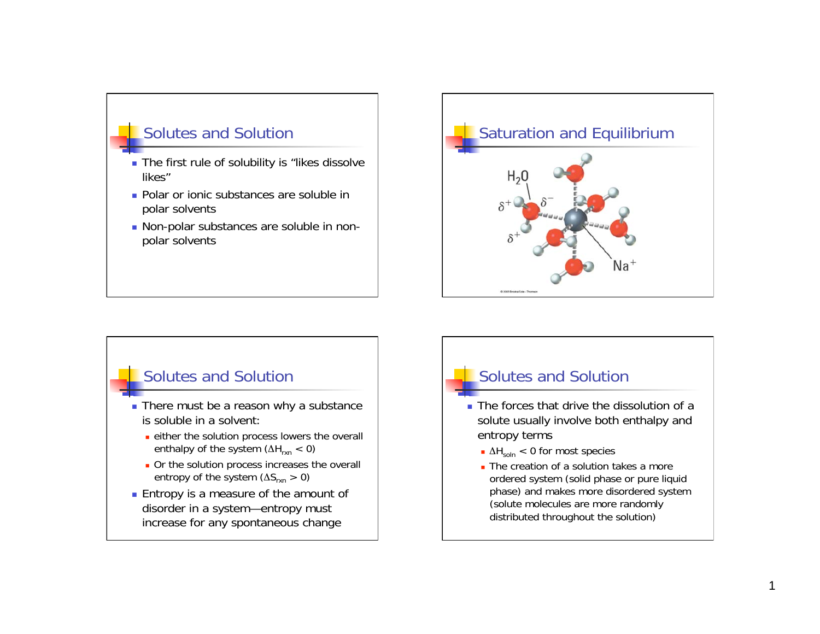

- The first rule of solubility is "likes dissolve likes"
- **Polar or ionic substances are soluble in** polar solvents
- Non-polar substances are soluble in nonpolar solvents



### Solutes and Solution

- There must be a reason why a substance is soluble in a solvent:
	- either the solution process lowers the overall enthalpy of the system  $(\Delta H_{rxn} < 0)$
	- Or the solution process increases the overall entropy of the system  $(\Delta S_{rxn} > 0)$
- **Entropy is a measure of the amount of** disorder in a system—entropy must increase for any spontaneous change

## Solutes and Solution

- The forces that drive the dissolution of a solute usually involve both enthalpy and entropy terms
	- $\Delta H_{soln}$  < 0 for most species
	- The creation of a solution takes a more ordered system (solid phase or pure liquid phase) and makes more disordered system (solute molecules are more randomly distributed throughout the solution)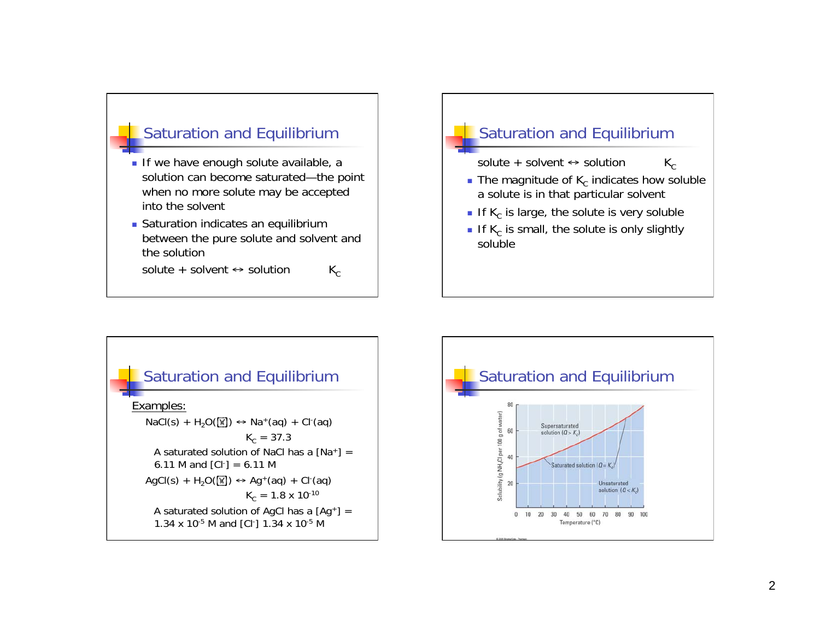

- If we have enough solute available, a solution can become saturated—the point when no more solute may be accepted into the solvent
- **Saturation indicates an equilibrium** between the pure solute and solvent and the solution

solute + solvent  $\leftrightarrow$  solution  $K_c$ 

### Saturation and Equilibrium

solute + solvent  $\leftrightarrow$  solution  $K_c$ 

- The magnitude of  $K_c$  indicates how soluble a solute is in that particular solvent
- If  $K_c$  is large, the solute is very soluble
- If K<sub>c</sub> is small, the solute is only slightly soluble



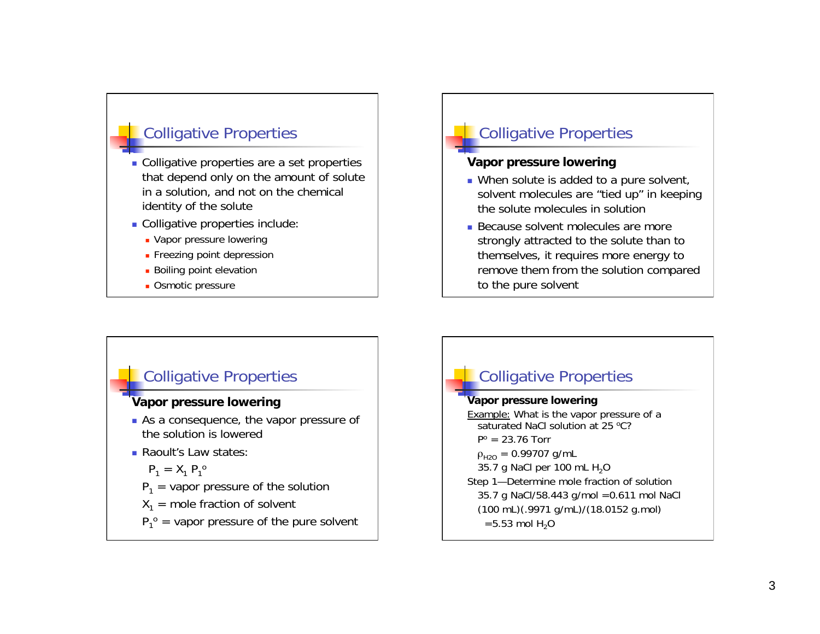## Colligative Properties

- Colligative properties are a set properties that depend only on the amount of solute in a solution, and not on the chemical identity of the solute
- Colligative properties include:
	- **Vapor pressure lowering**
	- **Freezing point depression**
	- **Boiling point elevation**
	- **D**Smotic pressure

# Colligative Properties

#### **Vapor pressure lowering**

- When solute is added to a pure solvent, solvent molecules are "tied up" in keeping the solute molecules in solution
- **Because solvent molecules are more** strongly attracted to the solute than to themselves, it requires more energy to remove them from the solution compared to the pure solvent

### Colligative Properties

#### **Vapor pressure lowering**

- As a consequence, the vapor pressure of the solution is lowered
- **Raoult's Law states:**

$$
P_1 = X_1 P_1^o
$$

- $P_1$  = vapor pressure of the solution
- $X_1$  = mole fraction of solvent
- $P_1^{\circ}$  = vapor pressure of the pure solvent

# Colligative Properties

#### **Vapor pressure lowering**

Example: What is the vapor pressure of a saturated NaCl solution at 25 °C?  $P^o = 23.76$  Torr  $\rho_{H2O} = 0.99707$  g/mL 35.7 g NaCl per 100 mL  $H_2O$ Step 1—Determine mole fraction of solution 35.7 g NaCl/58.443 g/mol =0.611 mol NaCl (100 mL)(.9971 g/mL)/(18.0152 g.mol)  $=$  5.53 mol H<sub>2</sub>O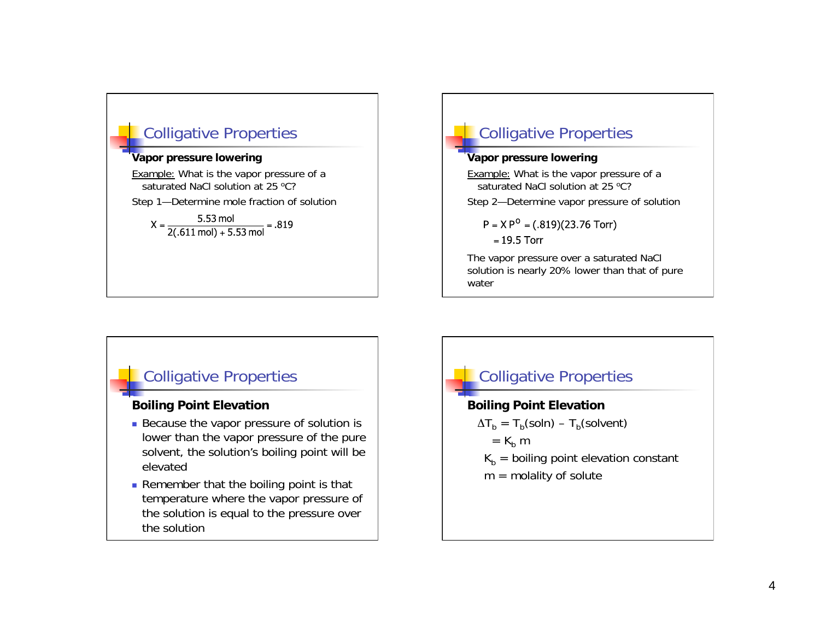

# Colligative Properties

#### **Vapor pressure lowering**

Example: What is the vapor pressure of a saturated NaCl solution at 25 °C?

Step 2—Determine vapor pressure of solution

 $P = XP^O = (.819)(23.76$  Torr)

 $= 19.5$  Torr

The vapor pressure over a saturated NaCl solution is nearly 20% lower than that of pure water

### Colligative Properties

### **Boiling Point Elevation**

- Because the vapor pressure of solution is lower than the vapor pressure of the pure solvent, the solution's boiling point will be elevated
- Remember that the boiling point is that temperature where the vapor pressure of the solution is equal to the pressure over the solution

# **Colligative Properties Boiling Point Elevation**   $\Delta T_{\rm b} = T_{\rm b}(\text{soln}) - T_{\rm b}(\text{solvent})$  $=$  K<sub>b</sub> m  $K_b$  = boiling point elevation constant  $m =$  molality of solute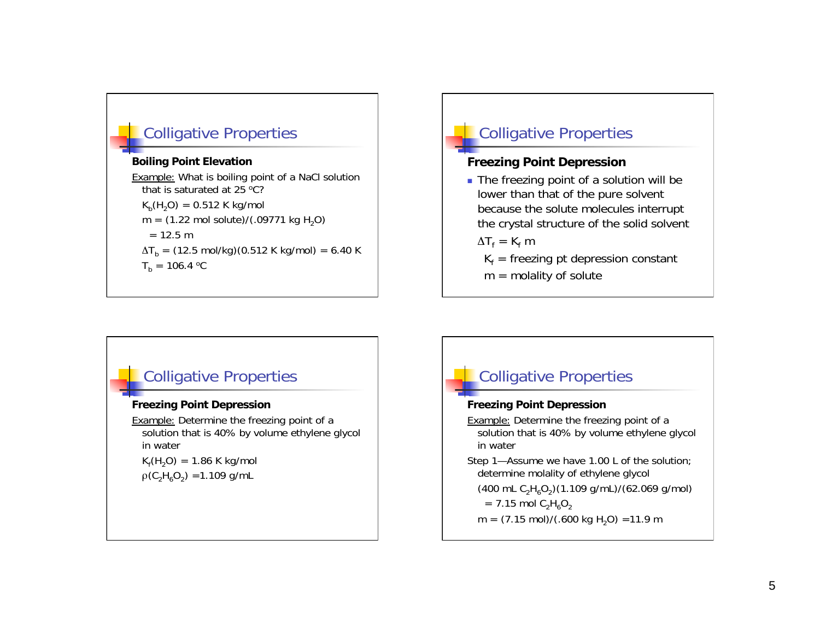# Colligative Properties

#### **Boiling Point Elevation**

Example: What is boiling point of a NaCl solution that is saturated at 25  $^{\circ}$ C?  $K_h(H_2O) = 0.512$  K kg/mol  $m = (1.22 \text{ mol} \text{ solute})/(0.09771 \text{ kg H}_2\text{O})$  $= 12.5 m$  $\Delta T_{\rm b}$  = (12.5 mol/kg)(0.512 K kg/mol) = 6.40 K  $T_h = 106.4 °C$ 

# Colligative Properties

### **Freezing Point Depression**

The freezing point of a solution will be lower than that of the pure solvent because the solute molecules interrupt the crystal structure of the solid solvent

 $\Delta T_f = K_f m$ 

- $K_f$  = freezing pt depression constant
- $m =$  molality of solute

### Colligative Properties

#### **Freezing Point Depression**

Example: Determine the freezing point of a solution that is 40% by volume ethylene glycol in water  $K_f(H_2O) = 1.86$  K kg/mol

 $\rho$ (C<sub>2</sub>H<sub>6</sub>O<sub>2</sub>) = 1.109 g/mL

# Colligative Properties

#### **Freezing Point Depression**

Example: Determine the freezing point of a solution that is 40% by volume ethylene glycol in water

Step 1—Assume we have 1.00 L of the solution; determine molality of ethylene glycol

(400 mL  $C_2H_6O_2$ )(1.109 g/mL)/(62.069 g/mol)

 $= 7.15$  mol  $C_2H_6O_2$ 

 $m = (7.15 \text{ mol})/(0.600 \text{ kg H}_2\text{O}) = 11.9 \text{ m}$